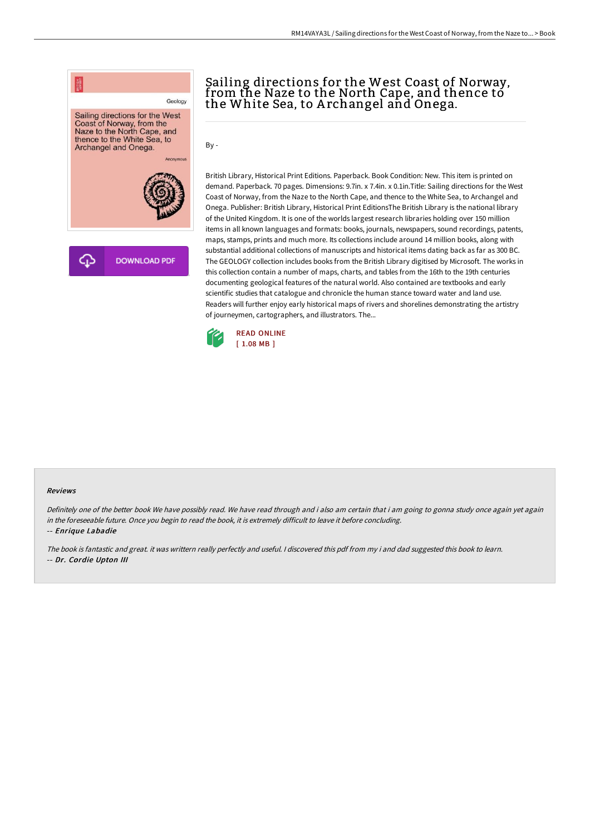

## Sailing directions for the West Coast of Norway, from the Naze to the North Cape, and thence to the White Sea, to A rchangel and Onega.

By -

British Library, Historical Print Editions. Paperback. Book Condition: New. This item is printed on demand. Paperback. 70 pages. Dimensions: 9.7in. x 7.4in. x 0.1in.Title: Sailing directions for the West Coast of Norway, from the Naze to the North Cape, and thence to the White Sea, to Archangel and Onega. Publisher: British Library, Historical Print EditionsThe British Library is the national library of the United Kingdom. It is one of the worlds largest research libraries holding over 150 million items in all known languages and formats: books, journals, newspapers, sound recordings, patents, maps, stamps, prints and much more. Its collections include around 14 million books, along with substantial additional collections of manuscripts and historical items dating back as far as 300 BC. The GEOLOGY collection includes books from the British Library digitised by Microsoft. The works in this collection contain a number of maps, charts, and tables from the 16th to the 19th centuries documenting geological features of the natural world. Also contained are textbooks and early scientific studies that catalogue and chronicle the human stance toward water and land use. Readers will further enjoy early historical maps of rivers and shorelines demonstrating the artistry of journeymen, cartographers, and illustrators. The...



## Reviews

Definitely one of the better book We have possibly read. We have read through and i also am certain that i am going to gonna study once again yet again in the foreseeable future. Once you begin to read the book, it is extremely difficult to leave it before concluding.

-- Enrique Labadie

The book is fantastic and great. it was writtern really perfectly and useful. <sup>I</sup> discovered this pdf from my i and dad suggested this book to learn. -- Dr. Cordie Upton III